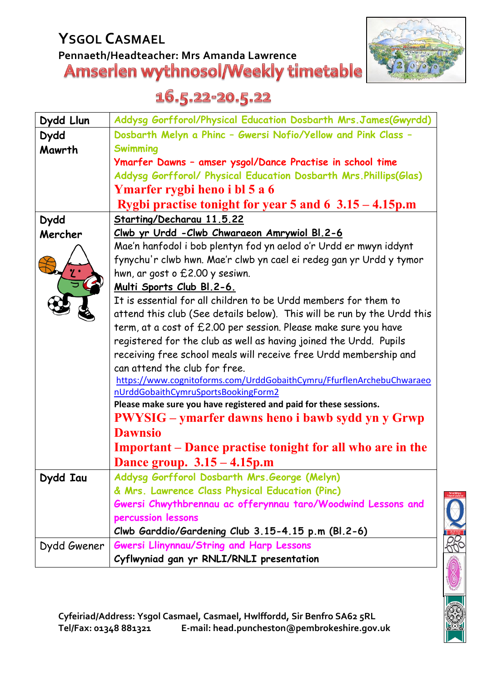# **YSGOL CASMAEL** Pennaeth/Headteacher: Mrs Amanda Lawrence<br>**Amserien wythnosol/Weekly timetable**



## 16.5.22-20.5.22

| Dydd Llun   | Addysg Gorfforol/Physical Education Dosbarth Mrs. James(Gwyrdd)         |
|-------------|-------------------------------------------------------------------------|
| <b>Dydd</b> | Dosbarth Melyn a Phinc - Gwersi Nofio/Yellow and Pink Class -           |
| Mawrth      | <b>Swimming</b>                                                         |
|             | Ymarfer Dawns - amser ysgol/Dance Practise in school time               |
|             | Addysg Gorfforol/ Physical Education Dosbarth Mrs. Phillips(Glas)       |
|             | Ymarfer rygbi heno i bl 5 a 6                                           |
|             | Rygbi practise tonight for year 5 and 6 $3.15 - 4.15$ p.m               |
| <b>Dydd</b> | Starting/Decharau 11.5.22                                               |
| Mercher     | <u>Clwb yr Urdd - Clwb Chwaraeon Amrywiol BI.2-6</u>                    |
|             | Mae'n hanfodol i bob plentyn fod yn aelod o'r Urdd er mwyn iddynt       |
|             | fynychu'r clwb hwn. Mae'r clwb yn cael ei redeg gan yr Urdd y tymor     |
|             | hwn, ar gost o £2.00 y sesiwn.                                          |
|             | Multi Sports Club Bl.2-6.                                               |
|             | It is essential for all children to be Urdd members for them to         |
|             | attend this club (See details below). This will be run by the Urdd this |
|             | term, at a cost of £2.00 per session. Please make sure you have         |
|             | registered for the club as well as having joined the Urdd. Pupils       |
|             | receiving free school meals will receive free Urdd membership and       |
|             | can attend the club for free.                                           |
|             | https://www.cognitoforms.com/UrddGobaithCymru/FfurflenArchebuChwaraeo   |
|             | nUrddGobaithCymruSportsBookingForm2                                     |
|             | Please make sure you have registered and paid for these sessions.       |
|             | <b>PWYSIG</b> – ymarfer dawns heno i bawb sydd yn y Grwp                |
|             | <b>Dawnsio</b>                                                          |
|             | <b>Important</b> – Dance practise tonight for all who are in the        |
|             | Dance group. $3.15 - 4.15$ p.m                                          |
| Dydd Iau    | Addysg Gorfforol Dosbarth Mrs. George (Melyn)                           |
|             | & Mrs. Lawrence Class Physical Education (Pinc)                         |
|             | Gwersi Chwythbrennau ac offerynnau taro/Woodwind Lessons and            |
|             | percussion lessons                                                      |
|             | Clwb Garddio/Gardening Club 3.15-4.15 p.m (Bl.2-6)                      |
| Dydd Gwener | <b>Gwersi Llinynnau/String and Harp Lessons</b>                         |
|             | Cyflwyniad gan yr RNLI/RNLI presentation                                |

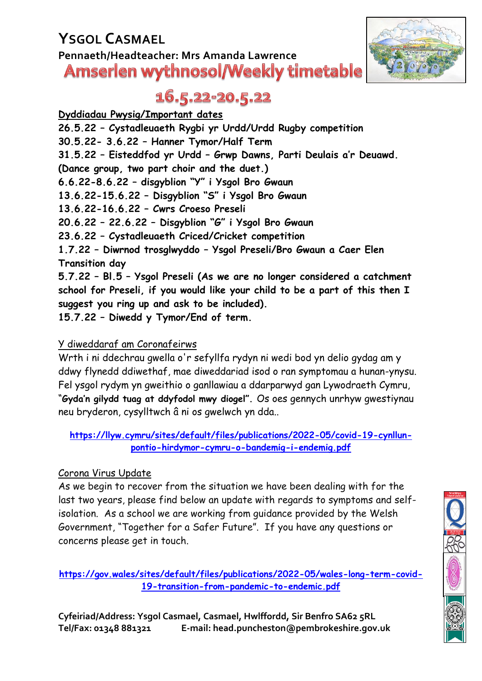## **YSGOL CASMAEL Pennaeth/Headteacher: Mrs Amanda Lawrence Amserlen wythnosol/Weekly timetable**



## 16.5.22-20.5.22

**Dyddiadau Pwysig/Important dates 26.5.22 – Cystadleuaeth Rygbi yr Urdd/Urdd Rugby competition 30.5.22- 3.6.22 – Hanner Tymor/Half Term 31.5.22 – Eisteddfod yr Urdd – Grwp Dawns, Parti Deulais a'r Deuawd. (Dance group, two part choir and the duet.) 6.6.22-8.6.22 – disgyblion "Y" i Ysgol Bro Gwaun 13.6.22-15.6.22 – Disgyblion "S" i Ysgol Bro Gwaun 13.6.22-16.6.22 – Cwrs Croeso Preseli 20.6.22 – 22.6.22 – Disgyblion "G" i Ysgol Bro Gwaun**

**23.6.22 – Cystadleuaeth Criced/Cricket competition**

**1.7.22 – Diwrnod trosglwyddo – Ysgol Preseli/Bro Gwaun a Caer Elen Transition day**

**5.7.22 – Bl.5 – Ysgol Preseli (As we are no longer considered a catchment school for Preseli, if you would like your child to be a part of this then I suggest you ring up and ask to be included).**

**15.7.22 – Diwedd y Tymor/End of term.**

### Y diweddaraf am Coronafeirws

Wrth i ni ddechrau gwella o'r sefyllfa rydyn ni wedi bod yn delio gydag am y ddwy flynedd ddiwethaf, mae diweddariad isod o ran symptomau a hunan-ynysu. Fel ysgol rydym yn gweithio o ganllawiau a ddarparwyd gan Lywodraeth Cymru, "**Gyda'n gilydd tuag at ddyfodol mwy diogel".** Os oes gennych unrhyw gwestiynau neu bryderon, cysylltwch â ni os gwelwch yn dda..

#### **[https://llyw.cymru/sites/default/files/publications/2022-05/covid-19-cynllun](https://llyw.cymru/sites/default/files/publications/2022-05/covid-19-cynllun-pontio-hirdymor-cymru-o-bandemig-i-endemig.pdf)[pontio-hirdymor-cymru-o-bandemig-i-endemig.pdf](https://llyw.cymru/sites/default/files/publications/2022-05/covid-19-cynllun-pontio-hirdymor-cymru-o-bandemig-i-endemig.pdf)**

#### Corona Virus Update

As we begin to recover from the situation we have been dealing with for the last two years, please find below an update with regards to symptoms and selfisolation. As a school we are working from guidance provided by the Welsh Government, "Together for a Safer Future". If you have any questions or concerns please get in touch.

**[https://gov.wales/sites/default/files/publications/2022-05/wales-long-term-covid-](https://gov.wales/sites/default/files/publications/2022-05/wales-long-term-covid-19-transition-from-pandemic-to-endemic.pdf)[19-transition-from-pandemic-to-endemic.pdf](https://gov.wales/sites/default/files/publications/2022-05/wales-long-term-covid-19-transition-from-pandemic-to-endemic.pdf)**

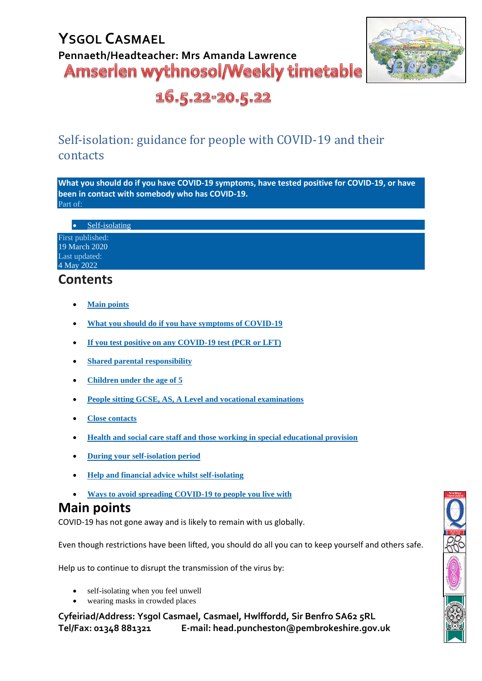

16.5.22-20.5.22

### Self-isolation: guidance for people with COVID-19 and their contacts

**What you should do if you have COVID-19 symptoms, have tested positive for COVID-19, or have been in contact with somebody who has COVID-19.** Part of:

• [Self-isolating](https://gov.wales/self-isolating)

First published: 19 March 2020 Last updated: 4 May 2022

### **Contents**

- **[Main points](https://gov.wales/self-isolation#section-38154)**
- **[What you should do if you have symptoms of COVID-19](https://gov.wales/self-isolation#section-83765)**
- **[If you test positive on any COVID-19 test \(PCR or LFT\)](https://gov.wales/self-isolation#section-86588)**
- **[Shared parental responsibility](https://gov.wales/self-isolation#section-89817)**
- **[Children under the age of 5](https://gov.wales/self-isolation#section-86590)**
- **[People sitting GCSE, AS, A Level and vocational examinations](https://gov.wales/self-isolation#section-96792)**
- **[Close contacts](https://gov.wales/self-isolation#section-83767)**
- **[Health and social care staff and those working in special educational provision](https://gov.wales/self-isolation#section-83773)**
- **[During your self-isolation period](https://gov.wales/self-isolation#section-83769)**
- **[Help and financial advice whilst self-isolating](https://gov.wales/self-isolation#section-94422)**
- **[Ways to avoid spreading COVID-19 to people you live with](https://gov.wales/self-isolation#section-94424)**

### **Main points**

COVID-19 has not gone away and is likely to remain with us globally.

Even though restrictions have been lifted, you should do all you can to keep yourself and others safe.

Help us to continue to disrupt the transmission of the virus by:

- self-isolating when you feel unwell
- wearing masks in crowded places

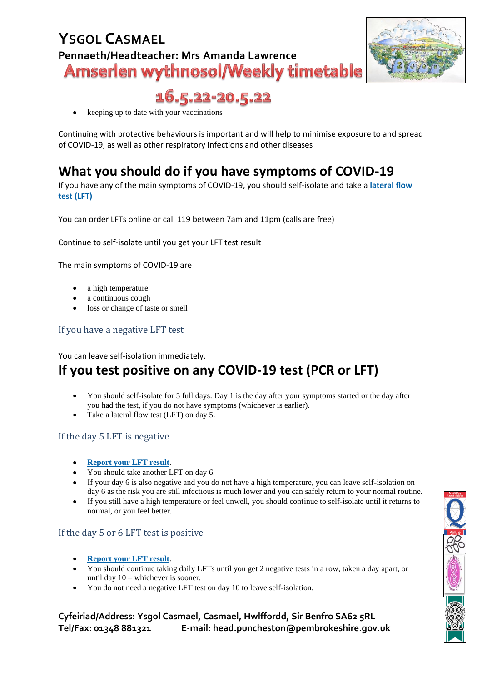

16.5.22-20.5.22

• keeping up to date with your vaccinations

Continuing with protective behaviours is important and will help to minimise exposure to and spread of COVID-19, as well as other respiratory infections and other diseases

### **What you should do if you have symptoms of COVID-19**

If you have any of the main symptoms of COVID-19, you should self-isolate and take a **[lateral flow](https://www.gov.uk/order-coronavirus-rapid-lateral-flow-tests)  [test \(LFT\)](https://www.gov.uk/order-coronavirus-rapid-lateral-flow-tests)**

You can order LFTs online or call 119 between 7am and 11pm (calls are free)

Continue to self-isolate until you get your LFT test result

The main symptoms of COVID-19 are

- a high temperature
- a continuous cough
- loss or change of taste or smell

#### If you have a negative LFT test

You can leave self-isolation immediately.

### **If you test positive on any COVID-19 test (PCR or LFT)**

- You should self-isolate for 5 full days. Day 1 is the day after your symptoms started or the day after you had the test, if you do not have symptoms (whichever is earlier).
- Take a lateral flow test (LFT) on day 5.

#### If the day 5 LFT is negative

- **[Report your LFT result](https://www.gov.uk/report-covid19-result)**.
- You should take another LFT on day 6.
- If your day 6 is also negative and you do not have a high temperature, you can leave self-isolation on day 6 as the risk you are still infectious is much lower and you can safely return to your normal routine.
- If you still have a high temperature or feel unwell, you should continue to self-isolate until it returns to normal, or you feel better.

#### If the day 5 or 6 LFT test is positive

- **[Report your LFT result](https://www.gov.uk/report-covid19-result)**.
- You should continue taking daily LFTs until you get 2 negative tests in a row, taken a day apart, or until day 10 – whichever is sooner.
- You do not need a negative LFT test on day 10 to leave self-isolation.

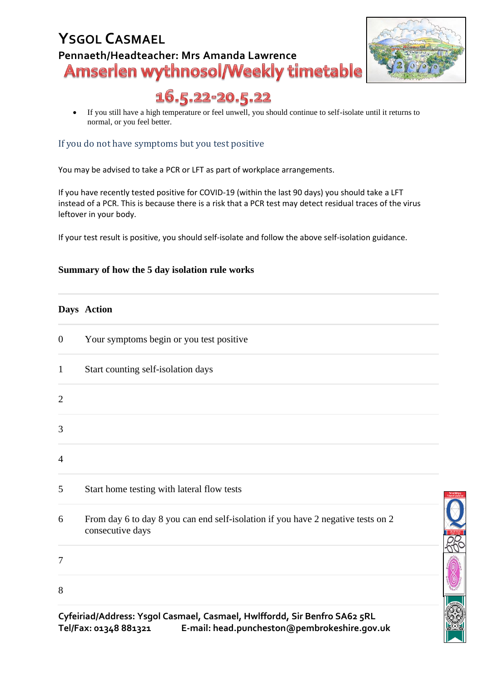# **YSGOL CASMAEL** Pennaeth/Headteacher: Mrs Amanda Lawrence<br>**Amserien wythnosol/Weekly timetable**



## 16.5.22-20.5.22

• If you still have a high temperature or feel unwell, you should continue to self-isolate until it returns to normal, or you feel better.

#### If you do not have symptoms but you test positive

You may be advised to take a PCR or LFT as part of workplace arrangements.

If you have recently tested positive for COVID-19 (within the last 90 days) you should take a LFT instead of a PCR. This is because there is a risk that a PCR test may detect residual traces of the virus leftover in your body.

If your test result is positive, you should self-isolate and follow the above self-isolation guidance.

#### **Summary of how the 5 day isolation rule works**

#### **Days Action**

| $\boldsymbol{0}$ | Your symptoms begin or you test positive                                                             |  |
|------------------|------------------------------------------------------------------------------------------------------|--|
| $\mathbf{1}$     | Start counting self-isolation days                                                                   |  |
| $\overline{2}$   |                                                                                                      |  |
| 3                |                                                                                                      |  |
| $\overline{4}$   |                                                                                                      |  |
| 5                | Start home testing with lateral flow tests                                                           |  |
| 6                | From day 6 to day 8 you can end self-isolation if you have 2 negative tests on 2<br>consecutive days |  |
| 7                |                                                                                                      |  |
| 8                |                                                                                                      |  |
|                  | Cyfeiriad/Address: Ysgol Casmael, Casmael, Hwlffordd, Sir Benfro SA62 5RL                            |  |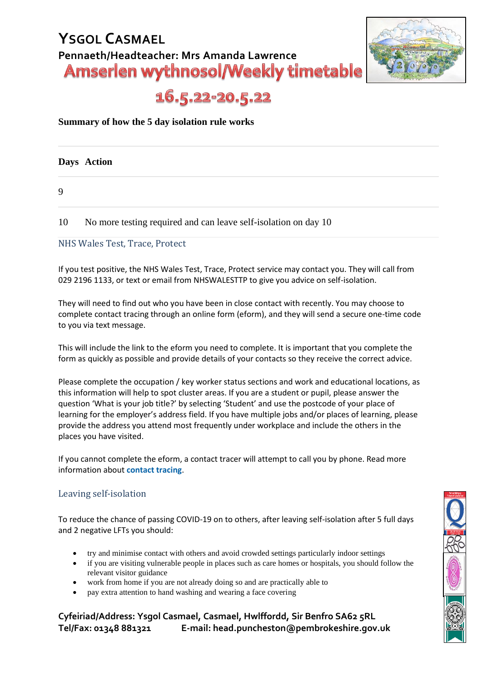

16.5.22-20.5.22

#### **Summary of how the 5 day isolation rule works**

**Days Action**

9

10 No more testing required and can leave self-isolation on day 10

#### NHS Wales Test, Trace, Protect

If you test positive, the NHS Wales Test, Trace, Protect service may contact you. They will call from 029 2196 1133, or text or email from NHSWALESTTP to give you advice on self-isolation.

They will need to find out who you have been in close contact with recently. You may choose to complete contact tracing through an online form (eform), and they will send a secure one-time code to you via text message.

This will include the link to the eform you need to complete. It is important that you complete the form as quickly as possible and provide details of your contacts so they receive the correct advice.

Please complete the occupation / key worker status sections and work and educational locations, as this information will help to spot cluster areas. If you are a student or pupil, please answer the question 'What is your job title?' by selecting 'Student' and use the postcode of your place of learning for the employer's address field. If you have multiple jobs and/or places of learning, please provide the address you attend most frequently under workplace and include the others in the places you have visited.

If you cannot complete the eform, a contact tracer will attempt to call you by phone. Read more information about **[contact tracing](https://gov.wales/contact-tracing-if-you-have-tested-positive)**.

#### Leaving self-isolation

To reduce the chance of passing COVID-19 on to others, after leaving self-isolation after 5 full days and 2 negative LFTs you should:

- try and minimise contact with others and avoid crowded settings particularly indoor settings
- if you are visiting vulnerable people in places such as care homes or hospitals, you should follow the relevant visitor guidance
- work from home if you are not already doing so and are practically able to
- pay extra attention to hand washing and wearing a face covering

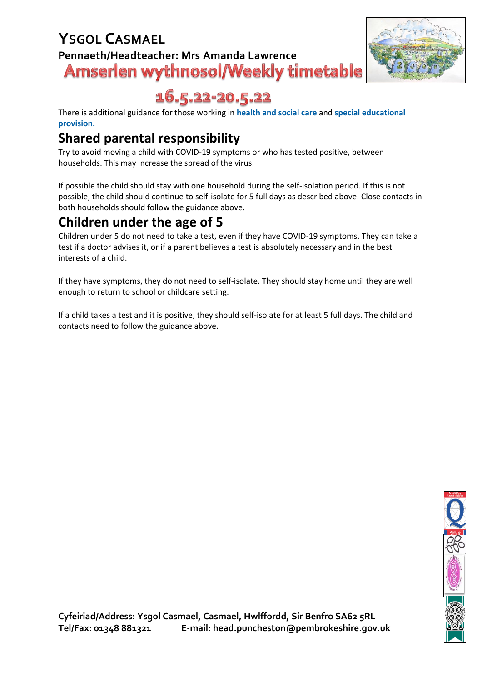

16.5.22-20.5.22

There is additional guidance for those working in **[health and social care](https://gov.wales/covid-19-contacts-guidance-health-and-social-care-staff)** and **[special educational](https://gov.wales/children-and-young-people-higher-clinical-risk-and-clinically-extremely-vulnerable-adults-guidance)  [provision.](https://gov.wales/children-and-young-people-higher-clinical-risk-and-clinically-extremely-vulnerable-adults-guidance)**

## **Shared parental responsibility**

Try to avoid moving a child with COVID-19 symptoms or who has tested positive, between households. This may increase the spread of the virus.

If possible the child should stay with one household during the self-isolation period. If this is not possible, the child should continue to self-isolate for 5 full days as described above. Close contacts in both households should follow the guidance above.

### **Children under the age of 5**

Children under 5 do not need to take a test, even if they have COVID-19 symptoms. They can take a test if a doctor advises it, or if a parent believes a test is absolutely necessary and in the best interests of a child.

If they have symptoms, they do not need to self-isolate. They should stay home until they are well enough to return to school or childcare setting.

If a child takes a test and it is positive, they should self-isolate for at least 5 full days. The child and contacts need to follow the guidance above.

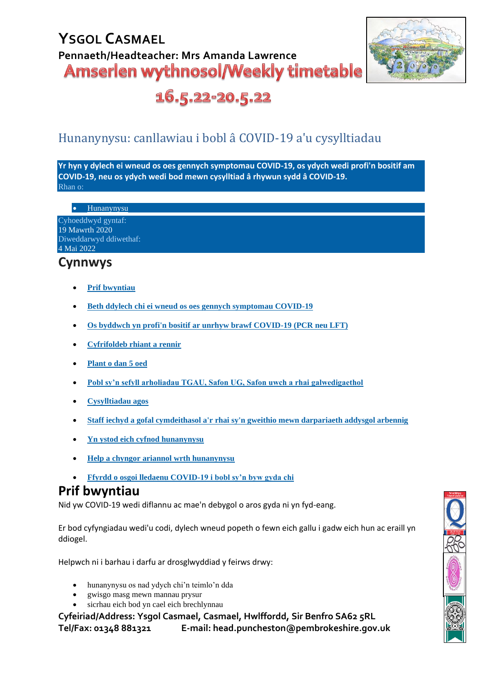

16.5.22-20.5.22

### Hunanynysu: canllawiau i bobl a COVID-19 a'u cysylltiadau

**Yr hyn y dylech ei wneud os oes gennych symptomau COVID-19, os ydych wedi profi'n bositif am COVID-19, neu os ydych wedi bod mewn cysylltiad â rhywun sydd â COVID-19.** Rhan o:

**[Hunanynysu](https://llyw.cymru/hunanynysu)** 

| Cyhoeddwyd gyntaf:     |
|------------------------|
| 19 Mawrth 2020         |
| Diweddarwyd ddiwethaf: |
| 4 Mai 2022             |

### **Cynnwys**

- **[Prif bwyntiau](https://llyw.cymru/canllawiau-hunanynysu#section-38154)**
- **[Beth ddylech chi ei wneud os oes gennych symptomau COVID-19](https://llyw.cymru/canllawiau-hunanynysu#section-83765)**
- **[Os byddwch yn profi'n bositif ar unrhyw brawf COVID-19 \(PCR neu LFT\)](https://llyw.cymru/canllawiau-hunanynysu#section-86588)**
- **[Cyfrifoldeb rhiant a rennir](https://llyw.cymru/canllawiau-hunanynysu#section-89817)**
- **[Plant o dan 5 oed](https://llyw.cymru/canllawiau-hunanynysu#section-86590)**
- **[Pobl sy'n sefyll arholiadau TGAU, Safon UG, Safon uwch a rhai galwedigaethol](https://llyw.cymru/canllawiau-hunanynysu#section-96792)**
- **[Cysylltiadau agos](https://llyw.cymru/canllawiau-hunanynysu#section-83767)**
- **[Staff iechyd a gofal cymdeithasol a'r rhai sy'n gweithio mewn darpariaeth addysgol arbennig](https://llyw.cymru/canllawiau-hunanynysu#section-83773)**
- **[Yn ystod eich cyfnod hunanynysu](https://llyw.cymru/canllawiau-hunanynysu#section-83769)**
- **[Help a chyngor ariannol wrth hunanynysu](https://llyw.cymru/canllawiau-hunanynysu#section-94422)**
- **[Ffyrdd o osgoi lledaenu COVID-19 i bobl sy'n byw gyda chi](https://llyw.cymru/canllawiau-hunanynysu#section-94424)**

### **Prif bwyntiau**

Nid yw COVID-19 wedi diflannu ac mae'n debygol o aros gyda ni yn fyd-eang.

Er bod cyfyngiadau wedi'u codi, dylech wneud popeth o fewn eich gallu i gadw eich hun ac eraill yn ddiogel.

Helpwch ni i barhau i darfu ar drosglwyddiad y feirws drwy:

- hunanynysu os nad ydych chi'n teimlo'n dda
- gwisgo masg mewn mannau prysur
- sicrhau eich bod yn cael eich brechlynnau

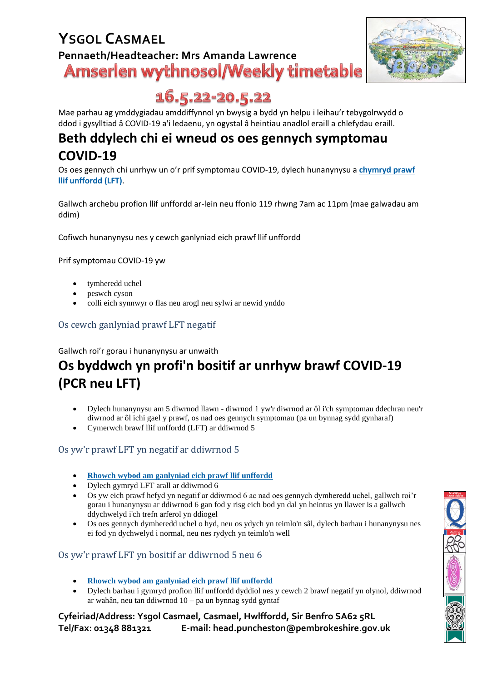

## 16.5.22-20.5.22

Mae parhau ag ymddygiadau amddiffynnol yn bwysig a bydd yn helpu i leihau'r tebygolrwydd o ddod i gysylltiad â COVID-19 a'i ledaenu, yn ogystal â heintiau anadlol eraill a chlefydau eraill.

### **Beth ddylech chi ei wneud os oes gennych symptomau COVID-19**

Os oes gennych chi unrhyw un o'r prif symptomau COVID-19, dylech hunanynysu a **[chymryd prawf](https://www.gov.uk/order-coronavirus-rapid-lateral-flow-tests)  [llif unffordd \(LFT\)](https://www.gov.uk/order-coronavirus-rapid-lateral-flow-tests)**.

Gallwch archebu profion llif unffordd ar-lein neu ffonio 119 rhwng 7am ac 11pm (mae galwadau am ddim)

Cofiwch hunanynysu nes y cewch ganlyniad eich prawf llif unffordd

Prif symptomau COVID-19 yw

- tymheredd uchel
- peswch cyson
- colli eich synnwyr o flas neu arogl neu sylwi ar newid ynddo

Os cewch ganlyniad prawf LFT negatif

Gallwch roi'r gorau i hunanynysu ar unwaith

## **Os byddwch yn profi'n bositif ar unrhyw brawf COVID-19 (PCR neu LFT)**

- Dylech hunanynysu am 5 diwrnod llawn diwrnod 1 yw'r diwrnod ar ôl i'ch symptomau ddechrau neu'r diwrnod ar ôl ichi gael y prawf, os nad oes gennych symptomau (pa un bynnag sydd gynharaf)
- Cymerwch brawf llif unffordd (LFT) ar ddiwrnod 5

#### Os yw'r prawf LFT yn negatif ar ddiwrnod 5

- **[Rhowch wybod am ganlyniad eich prawf llif unffordd](https://llyw.cymru/rhoi-gwybod-am-ganlyniad-eich-prawf-llif-unffordd)**
- Dylech gymryd LFT arall ar ddiwrnod 6
- Os yw eich prawf hefyd yn negatif ar ddiwrnod 6 ac nad oes gennych dymheredd uchel, gallwch roi'r gorau i hunanynysu ar ddiwrnod 6 gan fod y risg eich bod yn dal yn heintus yn llawer is a gallwch ddychwelyd i'ch trefn arferol yn ddiogel
- Os oes gennych dymheredd uchel o hyd, neu os ydych yn teimlo'n sâl, dylech barhau i hunanynysu nes ei fod yn dychwelyd i normal, neu nes rydych yn teimlo'n well

#### Os yw'r prawf LFT yn bositif ar ddiwrnod 5 neu 6

- **[Rhowch wybod am ganlyniad eich prawf llif unffordd](https://llyw.cymru/rhoi-gwybod-am-ganlyniad-eich-prawf-llif-unffordd)**
- Dylech barhau i gymryd profion llif unffordd dyddiol nes y cewch 2 brawf negatif yn olynol, ddiwrnod ar wahân, neu tan ddiwrnod 10 – pa un bynnag sydd gyntaf

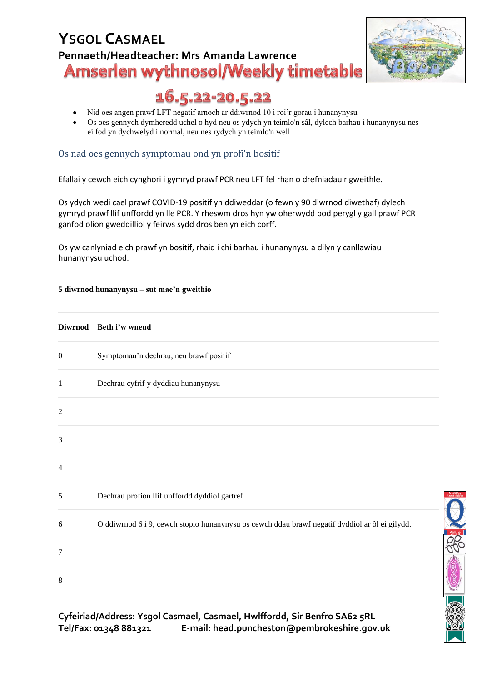

**CO 20** 

## 16.5.22-20.5.22

- Nid oes angen prawf LFT negatif arnoch ar ddiwrnod 10 i roi'r gorau i hunanynysu
- Os oes gennych dymheredd uchel o hyd neu os ydych yn teimlo'n sâl, dylech barhau i hunanynysu nes ei fod yn dychwelyd i normal, neu nes rydych yn teimlo'n well

#### Os nad oes gennych symptomau ond yn profi'n bositif

Efallai y cewch eich cynghori i gymryd prawf PCR neu LFT fel rhan o drefniadau'r gweithle.

Os ydych wedi cael prawf COVID-19 positif yn ddiweddar (o fewn y 90 diwrnod diwethaf) dylech gymryd prawf llif unffordd yn lle PCR. Y rheswm dros hyn yw oherwydd bod perygl y gall prawf PCR ganfod olion gweddilliol y feirws sydd dros ben yn eich corff.

Os yw canlyniad eich prawf yn bositif, rhaid i chi barhau i hunanynysu a dilyn y canllawiau hunanynysu uchod.

#### **5 diwrnod hunanynysu – sut mae'n gweithio**

# **Diwrnod Beth i'w wneud** 0 Symptomau'n dechrau, neu brawf positif 1 Dechrau cyfrif y dyddiau hunanynysu  $\overline{2}$ 3 4 5 Dechrau profion llif unffordd dyddiol gartref 6 O ddiwrnod 6 i 9, cewch stopio hunanynysu os cewch ddau brawf negatif dyddiol ar ôl ei gilydd. 7 8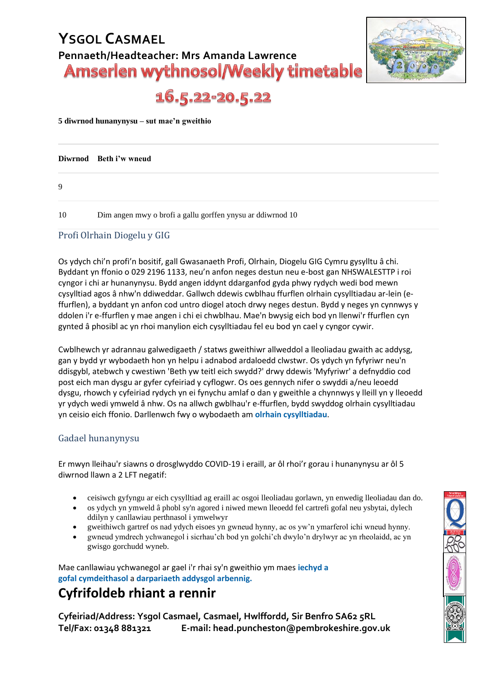

16.5.22-20.5.22

**5 diwrnod hunanynysu – sut mae'n gweithio**

|    | Diwrnod Beth i'w wneud                                     |
|----|------------------------------------------------------------|
| 9  |                                                            |
| 10 | Dim angen mwy o brofi a gallu gorffen ynysu ar ddiwrnod 10 |

#### Profi Olrhain Diogelu y GIG

Os ydych chi'n profi'n bositif, gall Gwasanaeth Profi, Olrhain, Diogelu GIG Cymru gysylltu â chi. Byddant yn ffonio o 029 2196 1133, neu'n anfon neges destun neu e-bost gan NHSWALESTTP i roi cyngor i chi ar hunanynysu. Bydd angen iddynt ddarganfod gyda phwy rydych wedi bod mewn cysylltiad agos â nhw'n ddiweddar. Gallwch ddewis cwblhau ffurflen olrhain cysylltiadau ar-lein (effurflen), a byddant yn anfon cod untro diogel atoch drwy neges destun. Bydd y neges yn cynnwys y ddolen i'r e-ffurflen y mae angen i chi ei chwblhau. Mae'n bwysig eich bod yn llenwi'r ffurflen cyn gynted â phosibl ac yn rhoi manylion eich cysylltiadau fel eu bod yn cael y cyngor cywir.

Cwblhewch yr adrannau galwedigaeth / statws gweithiwr allweddol a lleoliadau gwaith ac addysg, gan y bydd yr wybodaeth hon yn helpu i adnabod ardaloedd clwstwr. Os ydych yn fyfyriwr neu'n ddisgybl, atebwch y cwestiwn 'Beth yw teitl eich swydd?' drwy ddewis 'Myfyriwr' a defnyddio cod post eich man dysgu ar gyfer cyfeiriad y cyflogwr. Os oes gennych nifer o swyddi a/neu leoedd dysgu, rhowch y cyfeiriad rydych yn ei fynychu amlaf o dan y gweithle a chynnwys y lleill yn y lleoedd yr ydych wedi ymweld â nhw. Os na allwch gwblhau'r e-ffurflen, bydd swyddog olrhain cysylltiadau yn ceisio eich ffonio. Darllenwch fwy o wybodaeth am **[olrhain cysylltiadau](https://llyw.cymru/olrhain-cysylltiadau-os-ydych-chi-wedi-cael-prawf-positif)**.

#### Gadael hunanynysu

Er mwyn lleihau'r siawns o drosglwyddo COVID-19 i eraill, ar ôl rhoi'r gorau i hunanynysu ar ôl 5 diwrnod llawn a 2 LFT negatif:

- ceisiwch gyfyngu ar eich cysylltiad ag eraill ac osgoi lleoliadau gorlawn, yn enwedig lleoliadau dan do.
- os ydych yn ymweld â phobl sy'n agored i niwed mewn lleoedd fel cartrefi gofal neu ysbytai, dylech ddilyn y canllawiau perthnasol i ymwelwyr
- gweithiwch gartref os nad ydych eisoes yn gwneud hynny, ac os yw'n ymarferol ichi wneud hynny.
- gwneud ymdrech ychwanegol i sicrhau'ch bod yn golchi'ch dwylo'n drylwyr ac yn rheolaidd, ac yn gwisgo gorchudd wyneb.

Mae canllawiau ychwanegol ar gael i'r rhai sy'n gweithio ym maes **[iechyd a](https://llyw.cymru/cysylltiadau-covid-19-canllawiau-i-staff-iechyd-gofal-cymdeithasol)  gofal [cymdeithasol](https://llyw.cymru/cysylltiadau-covid-19-canllawiau-i-staff-iechyd-gofal-cymdeithasol)** a **[darpariaeth addysgol arbennig.](https://llyw.cymru/plant-phobl-ifanc-syn-wynebu-mwy-o-risg-glinigol-ac-oedolion-syn-eithriadol-o-agored-i-niwed)**

## **Cyfrifoldeb rhiant a rennir**